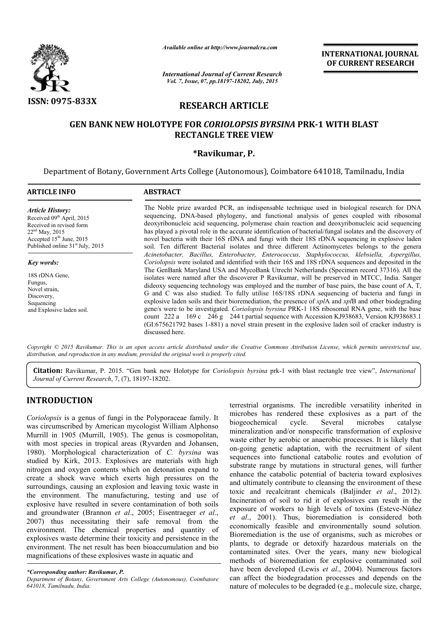

*Available online at http://www.journalcra.com*

*International Journal of Current Research Vol. 7, Issue, 07, pp.18197-18202, July, 2015*

INTERNATIONAL INTERNATIONAL JOURNAL OF CURRENT RESEARCH

# RESEARCH ARTICLE

## **GEN BANK NEW HOLOTYPE FOR** *CORIOLOPSIS BYRSINA* **PRK-1 WITH BLAST** RECTANGLE TREE VIEW

## \*Ravikumar, P.

Department of Botany, Government Arts College (Autonomous), Coimbatore 641018, Tamilnadu, India

#### ARTICLE INFO ABSTRACT The Noble prize awarded PCR, an indispensable technique used in biological research for DNA The Noble prize awarded PCR, an indispensable technique used in biological research for DNA sequencing, DNA-based phylogeny, and functional analysis of genes coupled with ribosomal deoxyribonucleic acid sequencing, polymerase chain reaction and deoxyribonucleic acid sequencing has played a pivotal role in the accurate identification of bacterial/fungal isolates and the discovery of novel bacteria with their 16S rDNA and fungi with their 18S rDNA sequencing in explosive laden soil. Ten different Bacterial isolates and three different Actinomycetes belongs to the genera *Acinetobacter, Bacillus, E Enterobacter, Enterococcus, Staphylococcus, klebsiella, Aspergillus, nterobacter, Coriolopsis*  were isolated and identified with their 16S and 18S rDNA sequences and deposited in the Coriolopsis were isolated and identified with their 16S and 18S rDNA sequences and deposited in the The GenBank Maryland USA and MycoBank Utrecht Netherlands (Specimen record 37316). All the isolates were named after the discoverer P Ravikumar, will be preserved in MTCC, India. Sanger dideoxy sequencing technology was employed and the number of base pairs, the base count of A, T, G and C was also studied. To fully utilise 16S/18S rDNA sequencing of bacteria and fungi in explosive laden soils and their bioremediation, the presence of *xpl* A and *xpl*B and other biodegrading gene/s were to be investigated. Coriolopsis byrsina PRK-1 18S ribosomal RNA gene, with the base count 222 a 169 c 246 g 244 t partial sequence with Accession KJ938683, Version KJ938683.1 count 222 a 169 c 246 g 244 t partial sequence with Accession KJ938683, Version KJ938683.1 (GI:675621792 bases 1-881) a novel strain present in the explosive laden soil of cracker industry is discussed here. *Article History:* Received 09<sup>th</sup> April, 2015 Received in revised form 22nd May, 2015 Accepted 15<sup>th</sup> June, 2015 Published online 31<sup>st</sup> July, 2015 *Key words:* 18S rDNA Gene, Fungus, Novel strain, Discovery, Sequencing and Explosive laden soil. **.** quencing, polymerase chain reaction and deoxyribonucleic acid sequencin<br>in the accurate identification of bacterial/fungal isolates and the discovery<br>16S rDNA and fungi with their 18S rDNA sequencing in explosive lad<br>erial were named after the discoverer P Ravikumar, will be preserved in MTCC, India. Sanger sequencing technology was employed and the number of base pairs, the base count of A, T, C was also studied. To fully utilise 16S/18S rD

Copyright © 2015 Ravikumar. This is an open access article distributed under the Creative Commons Attribution License, which permits unrestricted use, *distribution, and reproduction in any medium, provided the original work is properly cited.*

Citation: Ravikumar, P. 2015. "Gen bank new Holotype for *Coriolopsis byrsina* prk-1 with blast rectangle tree view", *International Journal of Current Research*, 7, (7), 18197-18202 18202.

## INTRODUCTION

*Coriolopsis* is a genus of fungi in the Polyporaceae family. It was circumscribed by American mycologist William Alphonso Murrill in 1905 (Murrill, 1905). The genus is cosmopolitan, with most species in tropical areas (Ryvarden and Johansen, 1980). Morphological characterization of *C. byrsina* was studied by Kirk, 2013. Explosives are materials with high nitrogen and oxygen contents which on detonation expand to create a shock wave which exerts high pressures on the surroundings, causing an explosion and leaving toxic waste in the environment. The manufacturing, testing and use of explosive have resulted in severe contamination of both soils and groundwater (Brannon *et al*., 2005; Eisentraeger *et al*., 2007) thus necessitating their safe removal from the environment. The chemical properties and quantity of explosives waste determine their toxicity and persistence in the environment. The net result has been bioaccumulation and bio magnifications of these explosives waste in aquatic a r safe removal fr<br>properties and qual<br>toxicity and persisten<br>been bioaccumulation<br>s waste in aquatic and

terrestrial organisms. The incredible versatility inherited in terrestrial organisms. The incredible versatility inherited in microbes has rendered these explosives as a part of the biogeochemical cycle. Several microbes catalyse mineralization and/or nonspecific transformation of explosive waste either by aerobic or anaerobic processes. It is likely that on-going genetic adaptation, with the recruitment of silent sequences into functional catabolic routes and evolution of substrate range by mutations in structural genes, will further enhance the catabolic potential of bacteria toward explosives and ultimately contribute to cleansing the environment of these toxic and recalcitrant chemicals (Baljinder et al., 2012). Incineration of soil to rid it of explosives can result in the Incineration of soil to rid it of explosives can result in the exposure of workers to high levels of toxins (Esteve-Núñez *et al*., 2001). Thus, bioremediation is considered both et al., 2001). Thus, bioremediation is considered both economically feasible and environmentally sound solution. Bioremediation is the use of organisms, such as microbes or plants, to degrade or detoxify hazardous materials on the contaminated sites. Over the years, many new biological methods of bioremediation for explosive contaminated so have been developed (Lewis *et al.*, 2004). Numerous factors can affect the biodegradation processes and depends on the nature of molecules to be degraded (e.g., molecule size, charge, at either by aerobic or anaerobic processes. It is likely that going genetic adaptation, with the recruitment of silent uences into functional catabolic routes and evolution of strate range by mutations in structural genes ediation is the use of organisms, such as microbes or<br>to degrade or detoxify hazardous materials on the<br>nated sites. Over the years, many new biological<br>s of bioremediation for explosive contaminated soil **INTERNATIONAL JOURNAL TORAL CONSUMPLEMENT INTO THE CONSUMPLEMENT IS CONSUMPLEMENT INTO A UNITER USE CONSUMPLEMENT RESEARCHED And that the second on the second on the second on the second on the second on the second on th** 

*<sup>\*</sup>Corresponding author: Ravikumar, P.*

*Department of Botany, Government Arts College (Autonomous), Coimbatore 641018, Tamilnadu, India.*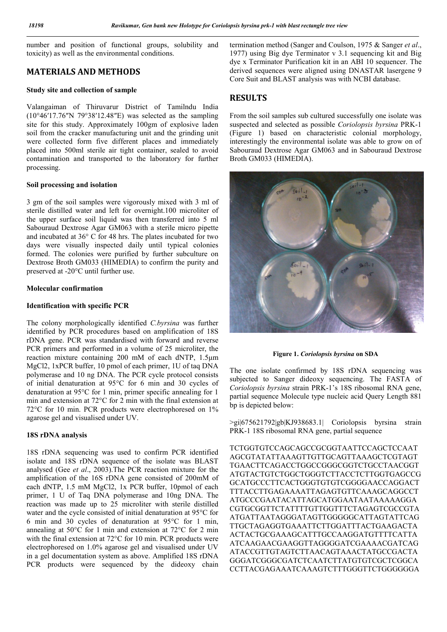number and position of functional groups, solubility and toxicity) as well as the environmental conditions.

## MATERIALS AND METHODS

### Study site and collection of sample

Valangaiman of Thiruvarur District of Tamilndu India (10°46′17.76″N 79°38′12.48″E) was selected as the sampling site for this study. Approximately 100gm of explosive laden soil from the cracker manufacturing unit and the grinding unit were collected form five different places and immediately placed into 500ml sterile air tight container, sealed to avoid contamination and transported to the laboratory for further processing.

### Soil processing and isolation

3 gm of the soil samples were vigorously mixed with 3 ml of sterile distilled water and left for overnight.100 microliter of the upper surface soil liquid was then transferred into 5 ml Sabouraud Dextrose Agar GM063 with a sterile micro pipette and incubated at 36° C for 48 hrs. The plates incubated for two days were visually inspected daily until typical colonies formed. The colonies were purified by further subculture on Dextrose Broth GM033 (HIMEDIA) to confirm the purity and preserved at -20°C until further use.

### Molecular confirmation

### Identification with specific PCR

The colony morphologically identified *C.byrsina* was further identified by PCR procedures based on amplification of 18S rDNA gene. PCR was standardised with forward and reverse PCR primers and performed in a volume of 25 microliter, the reaction mixture containing 200 mM of each dNTP, 1.5μm MgCl2, 1xPCR buffer, 10 pmol of each primer, 1U of taq DNA polymerase and 10 ng DNA. The PCR cycle protocol consists of initial denaturation at 95°C for 6 min and 30 cycles of denaturation at 95°C for 1 min, primer specific annealing for 1 min and extension at 72°C for 2 min with the final extension at 72°C for 10 min. PCR products were electrophoresed on 1% agarose gel and visualised under UV.

## 18S rDNA analysis

18S rDNA sequencing was used to confirm PCR identified isolate and 18S rDNA sequence of the isolate was BLAST analysed (Gee *et al*., 2003).The PCR reaction mixture for the amplification of the 16S rDNA gene consisted of 200mM of each dNTP, 1.5 mM MgCl2, 1x PCR buffer, 10pmol of each primer, 1 U of Taq DNA polymerase and 10ng DNA. The reaction was made up to 25 microliter with sterile distilled water and the cycle consisted of initial denaturation at 95°C for 6 min and 30 cycles of denaturation at 95°C for 1 min, annealing at 50°C for 1 min and extension at 72°C for 2 min with the final extension at 72°C for 10 min. PCR products were electrophoresed on 1.0% agarose gel and visualised under UV in a gel documentation system as above. Amplified 18S rDNA PCR products were sequenced by the dideoxy chain

termination method (Sanger and Coulson, 1975 & Sanger *et al*., 1977) using Big dye Terminator v 3.1 sequencing kit and Big dye x Terminator Purification kit in an ABI 10 sequencer. The derived sequences were aligned using DNASTAR lasergene 9 Core Suit and BLAST analysis was with NCBI database.

## RESULTS

From the soil samples sub cultured successfully one isolate was suspected and selected as possible *Coriolopsis byrsina* PRK-1 (Figure 1) based on characteristic colonial morphology, interestingly the environmental isolate was able to grow on of Sabouraud Dextrose Agar GM063 and in Sabouraud Dextrose Broth GM033 (HIMEDIA).



Figure 1. *Coriolopsis byrsina* on SDA

The one isolate confirmed by 18S rDNA sequencing was subjected to Sanger dideoxy sequencing. The FASTA of *Coriolopsis byrsina* strain PRK-1's 18S ribosomal RNA gene, partial sequence Molecule type nucleic acid Query Length 881 bp is depicted below:

>gi|675621792|gb|KJ938683.1| Coriolopsis byrsina strain PRK-1 18S ribosomal RNA gene, partial sequence

TCTGGTGTCCAGCAGCCGCGGTAATTCCAGCTCCAAT AGCGTATATTAAAGTTGTTGCAGTTAAAGCTCGTAGT TGAACTTCAGACCTGGCCGGGCGGTCTGCCTAACGGT ATGTACTGTCTGGCTGGGTCTTACCTCTTGGTGAGCCG GCATGCCCTTCACTGGGTGTGTCGGGGAACCAGGACT TTTACCTTGAGAAAATTAGAGTGTTCAAAGCAGGCCT ATGCCCGAATACATTAGCATGGAATAATAAAAAGGA CGTGCGGTTCTATTTTGTTGGTTTCTAGAGTCGCCGTA ATGATTAATAGGGATAGTTGGGGGCATTAGTATTCAG TTGCTAGAGGTGAAATTCTTGGATTTACTGAAGACTA ACTACTGCGAAAGCATTTGCCAAGGATGTTTTCATTA ATCAAGAACGAAGGTTAGGGGATCGAAAACGATCAG ATACCGTTGTAGTCTTAACAGTAAACTATGCCGACTA GGGATCGGGCGATCTCAATCTTATGTGTCGCTCGGCA CCTTACGAGAAATCAAAGTCTTTGGGTTCTGGGGGGA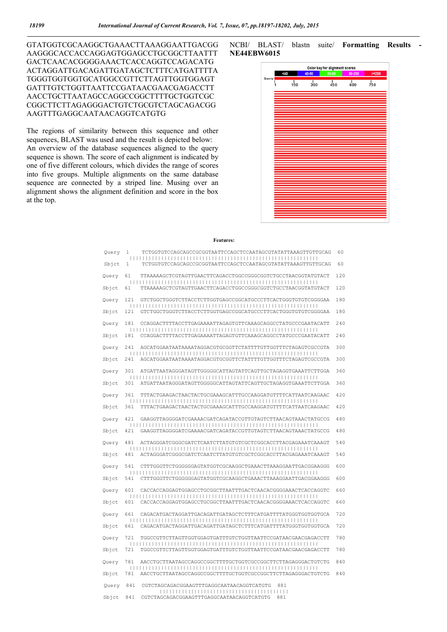GTATGGTCGCAAGGCTGAAACTTAAAGGAATTGACGG AAGGGCACCACCAGGAGTGGAGCCTGCGGCTTAATTT GACTCAACACGGGGAAACTCACCAGGTCCAGACATG ACTAGGATTGACAGATTGATAGCTCTTTCATGATTTTA TGGGTGGTGGTGCATGGCCGTTCTTAGTTGGTGGAGT GATTTGTCTGGTTAATTCCGATAACGAACGAGACCTT AACCTGCTTAATAGCCAGGCCGGCTTTTGCTGGTCGC CGGCTTCTTAGAGGGACTGTCTGCGTCTAGCAGACGG AAGTTTGAGGCAATAACAGGTCATGTG

The regions of similarity between this sequence and other sequences, BLAST was used and the result is depicted below: An overview of the database sequences aligned to the query sequence is shown. The score of each alignment is indicated by one of five different colours, which divides the range of scores into five groups. Multiple alignments on the same database sequence are connected by a striped line. Musing over an alignment shows the alignment definition and score in the box at the top.

NCBI/ BLAST/ blastn suite/ Formatting Results - NE44EBW6015



### Features:

|  | Query | 1   | TCTGGTGTCCAGCAGCCGCGGTAATTCCAGCTCCAATAGCGTATATTAAAGTTGTTGCAG | 60  |
|--|-------|-----|--------------------------------------------------------------|-----|
|  | Sbjct | 1   | TCTGGTGTCCAGCAGCCGCGGTAATTCCAGCTCCAATAGCGTATATTAAAGTTGTTGCAG | 60  |
|  | Query | 61  | TTAAAAAGCTCGTAGTTGAACTTCAGACCTGGCCGGCGGTCTGCCTAACGGTATGTACT  | 120 |
|  | Sbict | 61  | TTAAAAAGCTCGTAGTTGAACTTCAGACCTGGCCGGCGGTCTGCCTAACGGTATGTACT  | 120 |
|  | Query | 121 | GTCTGGCTGGGTCTTACCTCTTGGTGAGCCGGCATGCCCTTCACTGGGTGTGTCGGGGAA | 180 |
|  | Sbjct | 121 | GTCTGGCTGGGTCTTACCTCTTGGTGAGCCGGCATGCCCTTCACTGGGTGTGTCGGGGAA | 180 |
|  | Ouery | 181 | CCAGGACTTTTACCTTGAGAAAATTAGAGTGTTCAAAGCAGGCCTATGCCCGAATACATT | 240 |
|  | Sbjct | 181 | CCAGGACTTTTACCTTGAGAAAATTAGAGTGTTCAAAGCAGGCCTATGCCCGAATACATT | 240 |
|  | Ouery | 241 | AGCATGGAATAATAAATAGGACGTGCGGTTCTATTTTGTTGGTTTCTAGAGTCGCCGTA  | 300 |
|  | Sbjct | 241 | AGCATGGAATAATAAATAGGACGTGCGGTTCTATTTTGTTGGTTTCTAGAGTCGCCGTA  | 300 |
|  | Query | 301 | ATGATTAATAGGGATAGTTGGGGGCATTAGTATTCAGTTGCTAGAGGTGAAATTCTTGGA | 360 |
|  | Sbjct | 301 | ATGATTAATAGGGATAGTTGGGGGCATTAGTATTCAGTTGCTAGAGGTGAAATTCTTGGA | 360 |
|  | Ouery | 361 | TTTACTGAAGACTAACTACTGCGAAAGCATTTGCCAAGGATGTTTTCATTAATCAAGAAC | 420 |
|  | Sbjct | 361 | TTTACTGAAGACTAACTACTGCGAAAGCATTTGCCAAGGATGTTTTCATTAATCAAGAAC | 420 |
|  | Query | 421 | GAAGGTTAGGGGATCGAAAACGATCAGATACCGTTGTAGTCTTAACAGTAAACTATGCCG | 480 |
|  | Sbict | 421 | GAAGGTTAGGGGATCGAAAACGATCAGATACCGTTGTAGTCTTAACAGTAAACTATGCCG | 480 |
|  | Query | 481 | ACTAGGGATCGGCGATCTCAATCTTATGTGTCGCTCGGCACCTTACGAGAAATCAAAGT  | 540 |
|  | Sbjct | 481 | ACTAGGGATCGGGCGATCTCAATCTTATGTGTCGCTCGGCACCTTACGAGAAATCAAAGT | 540 |
|  | Ouery | 541 | CTTTGGGTTCTGGGGGGAGTATGGTCGCAAGGCTGAAACTTAAAGGAATTGACGGAAGGG | 600 |
|  | Sbjct | 541 | CTTTGGGTTCTGGGGGGAGTATGGTCGCAAGGCTGAAACTTAAAGGAATTGACGGAAGGG | 600 |
|  | Query | 601 | CACCACCAGGAGTGGAGCCTGCGGCTTAATTTGACTCAACACGGGGAAACTCACCAGGTC | 660 |
|  | Sbjct | 601 | CACCACCAGGAGTGGAGCCTGCGGCTTAATTTGACTCAACACGGGGAAACTCACCAGGTC | 660 |
|  | Query | 661 | CAGACATGACTAGGATTGACAGATTGATAGCTCTTTCATGATTTTATGGGTGGTGGTGCA | 720 |
|  | Sbjct | 661 | CAGACATGACTAGGATTGACAGATTGATAGCTCTTTCATGATTTTATGGGTGGTGGTGCA | 720 |
|  | Ouery | 721 |                                                              | 780 |
|  | Sbjct | 721 |                                                              | 780 |
|  | Query | 781 | AACCTGCTTAATAGCCAGGCCGGCTTTTGCTGGTCGCCGGCTTCTTAGAGGGACTGTCTG | 840 |
|  | Sbjct | 781 | AACCTGCTTAATAGCCAGGCCGGCTTTTGCTGGTCGCCGGCTTCTTAGAGGGACTGTCTG | 840 |
|  | Query | 841 | CGTCTAGCAGACGGAAGTTTGAGGCAATAACAGGTCATGTG<br>881             |     |
|  | Sbict | 841 | CGTCTAGCAGACGGAAGTTTGAGGCAATAACAGGTCATGTG<br>881             |     |
|  |       |     |                                                              |     |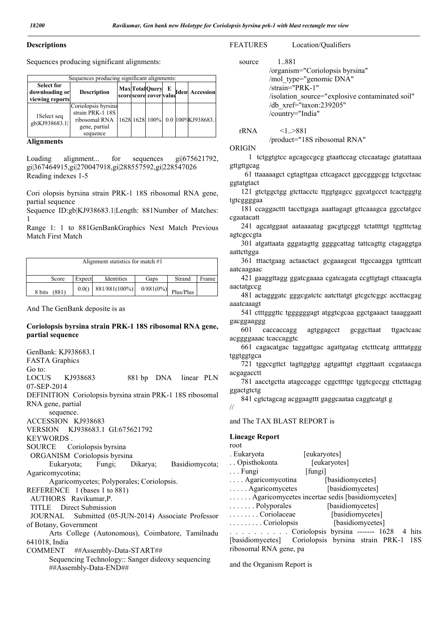### **Descriptions**

Sequences producing significant alignments:

| Sequences producing significant alignments:            |                                                                                       |  |  |  |  |  |                                    |
|--------------------------------------------------------|---------------------------------------------------------------------------------------|--|--|--|--|--|------------------------------------|
| <b>Select for</b><br>downloading or<br>viewing reports | <b>Description</b>                                                                    |  |  |  |  |  | Max Total Query E den Accession    |
| 1 Select seq<br>gb KJ938683.1                          | Coriolopsis byrsina<br>strain PRK-1 18S<br>ribosomal RNA<br>gene, partial<br>sequence |  |  |  |  |  | 1628 1628 100% 0.0 100% KJ938683.1 |

### Alignments

Loading alignment... for sequences gi|675621792, gi|367464915,gi|270047918,gi|288557592,gi|228547026 Reading indexes 1-5

Cori olopsis byrsina strain PRK-1 18S ribosomal RNA gene, partial sequence

Sequence ID:gb|KJ938683.1|Length: 881Number of Matches: 1

Range 1: 1 to 881GenBankGraphics Next Match Previous Match First Match

| Alignment statistics for match #1 |        |               |              |           |       |
|-----------------------------------|--------|---------------|--------------|-----------|-------|
| Score                             | Expect | Identities    | Gaps         | Strand    | Frame |
| 8 bits<br>(881)                   | 0.0()  | 881/881(100%) | $0/881(0\%)$ | Plus/Plus |       |

And The GenBank deposite is as

### Coriolopsis byrsina strain PRK-1 18S ribosomal RNA gene, partial sequence

GenBank: KJ938683.1 FASTA Graphics Go to: LOCUS KJ938683 881 bp DNA linear PLN 07-SEP-2014 DEFINITION Coriolopsis byrsina strain PRK-1 18S ribosomal RNA gene, partial sequence. ACCESSION KJ938683 VERSION KJ938683.1 GI:675621792 KEYWORDS . SOURCE Coriolopsis byrsina ORGANISM Coriolopsis byrsina Eukaryota; Fungi; Dikarya; Basidiomycota; Agaricomycotina; Agaricomycetes; Polyporales; Coriolopsis. REFERENCE 1 (bases 1 to 881) AUTHORS Ravikumar,P. TITLE Direct Submission JOURNAL Submitted (05-JUN-2014) Associate Professor of Botany, Government Arts College (Autonomous), Coimbatore, Tamilnadu 641018, India COMMENT ##Assembly-Data-START## Sequencing Technology:: Sanger dideoxy sequencing ##Assembly-Data-END##

### FEATURES Location/Qualifiers

 source 1..881 /organism="Coriolopsis byrsina" /mol\_type="genomic DNA"

 /strain="PRK-1" /isolation\_source="explosive contaminated soil" /db\_xref="taxon:239205" /country="India"

 $rRNA$   $\leq l. > 881$ 

/product="18S ribosomal RNA"

ORIGIN

 1 tctggtgtcc agcagccgcg gtaattccag ctccaatagc gtatattaaa gttgttgcag

 61 ttaaaaagct cgtagttgaa cttcagacct ggccgggcgg tctgcctaac ggtatgtact

 121 gtctggctgg gtcttacctc ttggtgagcc ggcatgccct tcactgggtg tgtcggggaa

 181 ccaggacttt taccttgaga aaattagagt gttcaaagca ggcctatgcc cgaatacatt

 241 agcatggaat aataaaatag gacgtgcggt tctattttgt tggtttctag agtcgccgta

 301 atgattaata gggatagttg ggggcattag tattcagttg ctagaggtga aattcttgga

 361 tttactgaag actaactact gcgaaagcat ttgccaagga tgttttcatt aatcaagaac

 421 gaaggttagg ggatcgaaaa cgatcagata ccgttgtagt cttaacagta aactatgccg

 481 actagggatc gggcgatctc aatcttatgt gtcgctcggc accttacgag aaatcaaagt

 541 ctttgggttc tggggggagt atggtcgcaa ggctgaaact taaaggaatt gacggaaggg

 601 caccaccagg agtggagcct gcggcttaat ttgactcaac acggggaaac tcaccaggtc

 661 cagacatgac taggattgac agattgatag ctctttcatg attttatggg tggtggtgca

 721 tggccgttct tagttggtgg agtgatttgt ctggttaatt ccgataacga acgagacctt

 781 aacctgctta atagccaggc cggcttttgc tggtcgccgg cttcttagag ggactgtctg

 841 cgtctagcag acggaagttt gaggcaataa caggtcatgt g //

and The TAX BLAST REPORT is

## Lineage Report

root . Eukaryota [eukaryotes] . . Opisthokonta [eukaryotes] ... Fungi [fungi] .... Agaricomycotina [basidiomycetes] . . . . . Agaricomycetes [basidiomycetes] . . . . . . . Agaricomycetes incertae sedis [basidiomycetes]<br>. . . . . . . . Polyporales [basidiomycetes]  $\ldots$  . . . . . . Polyporales . . . . . . . . Coriolaceae [basidiomycetes] . . . . . . . . . Coriolopsis [basidiomycetes] . . . . . . . . . Coriolopsis byrsina ------- 1628 4 hits [basidiomycetes] Coriolopsis byrsina strain PRK-1 18S ribosomal RNA gene, pa

and the Organism Report is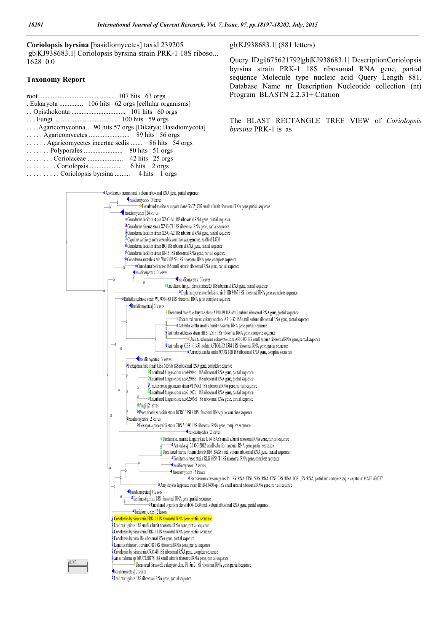Coriolopsis byrsina [basidiomycetes] taxid 239205 gb|KJ938683.1| Coriolopsis byrsina strain PRK-1 18S riboso... 1628 0.0

### Taxonomy Report

| Agaricomycotina90 hits 57 orgs [Dikarya; Basidiomycota] |
|---------------------------------------------------------|
| $\ldots$ Agaricomycetes $\ldots$ 89 hits 56 orgs        |
| Agaricomycetes incertae sedis  86 hits 54 orgs          |
|                                                         |
|                                                         |
|                                                         |
| Coriolongic hyrning A hite 1 orga                       |

. . . . . . . . . . Coriolopsis byrsina ......... 4 hits 1 orgs

### gb|KJ938683.1| (881 letters)

Query IDgi|675621792|gb|KJ938683.1| DescriptionCoriolopsis byrsina strain PRK-1 18S ribosomal RNA gene, partial sequence Molecule type nucleic acid Query Length 881. Database Name nr Description Nucleotide collection (nt) Program BLASTN 2.2.31+ Citation

The BLAST RECTANGLE TREE VIEW of *Coriolopsis byrsina* PRK-1 is as